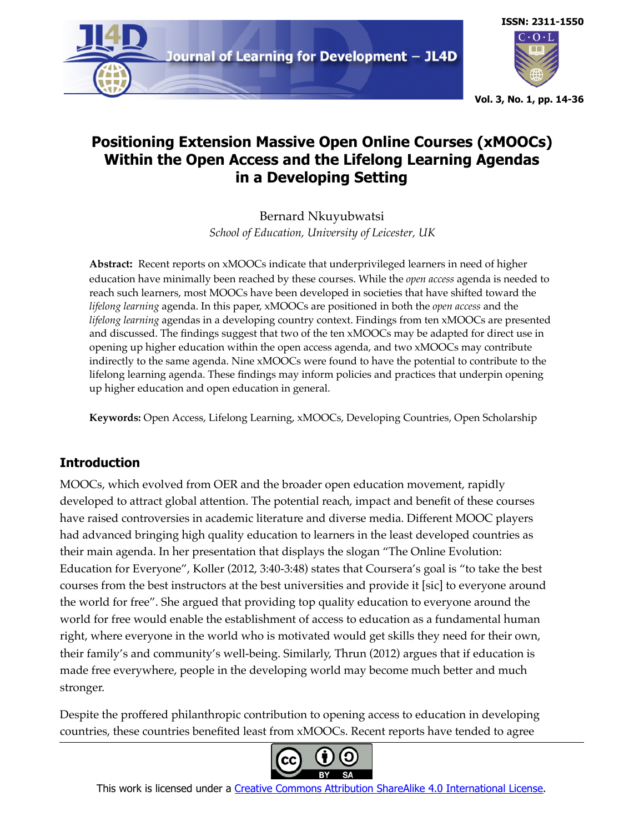



**Vol. 3, No. 1, pp. 14-36**

# **Positioning Extension Massive Open Online Courses (xMOOCs) Within the Open Access and the Lifelong Learning Agendas in a Developing Setting**

Bernard Nkuyubwatsi *School of Education, University of Leicester, UK*

**Abstract:** Recent reports on xMOOCs indicate that underprivileged learners in need of higher education have minimally been reached by these courses. While the *open access* agenda is needed to reach such learners, most MOOCs have been developed in societies that have shifted toward the *lifelong learning* agenda. In this paper, xMOOCs are positioned in both the *open access* and the *lifelong learning* agendas in a developing country context. Findings from ten xMOOCs are presented and discussed. The findings suggest that two of the ten xMOOCs may be adapted for direct use in opening up higher education within the open access agenda, and two xMOOCs may contribute indirectly to the same agenda. Nine xMOOCs were found to have the potential to contribute to the lifelong learning agenda. These findings may inform policies and practices that underpin opening up higher education and open education in general.

**Keywords:** Open Access, Lifelong Learning, xMOOCs, Developing Countries, Open Scholarship

## **Introduction**

MOOCs, which evolved from OER and the broader open education movement, rapidly developed to attract global attention. The potential reach, impact and benefit of these courses have raised controversies in academic literature and diverse media. Different MOOC players had advanced bringing high quality education to learners in the least developed countries as their main agenda. In her presentation that displays the slogan "The Online Evolution: Education for Everyone", Koller (2012, 3:40-3:48) states that Coursera's goal is "to take the best courses from the best instructors at the best universities and provide it [sic] to everyone around the world for free". She argued that providing top quality education to everyone around the world for free would enable the establishment of access to education as a fundamental human right, where everyone in the world who is motivated would get skills they need for their own, their family's and community's well-being. Similarly, Thrun (2012) argues that if education is made free everywhere, people in the developing world may become much better and much stronger.

Despite the proffered philanthropic contribution to opening access to education in developing countries, these countries benefited least from xMOOCs. Recent reports have tended to agree



This work is licensed under a [Creative Commons Attribution ShareAlike 4.0 International License.](https://creativecommons.org/licenses/by-sa/4.0/)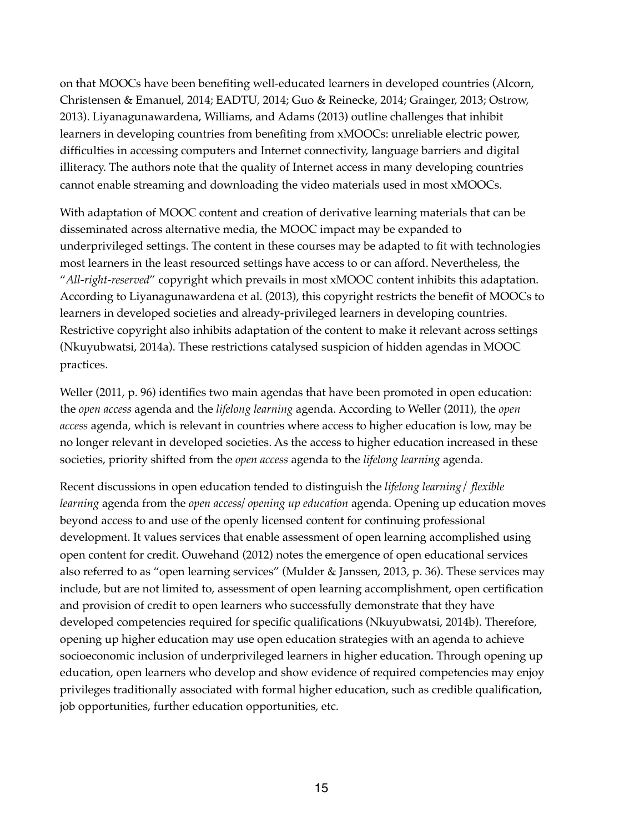on that MOOCs have been benefiting well-educated learners in developed countries (Alcorn, Christensen & Emanuel, 2014; EADTU, 2014; Guo & Reinecke, 2014; Grainger, 2013; Ostrow, 2013). Liyanagunawardena, Williams, and Adams (2013) outline challenges that inhibit learners in developing countries from benefiting from xMOOCs: unreliable electric power, difficulties in accessing computers and Internet connectivity, language barriers and digital illiteracy. The authors note that the quality of Internet access in many developing countries cannot enable streaming and downloading the video materials used in most xMOOCs.

With adaptation of MOOC content and creation of derivative learning materials that can be disseminated across alternative media, the MOOC impact may be expanded to underprivileged settings. The content in these courses may be adapted to fit with technologies most learners in the least resourced settings have access to or can afford. Nevertheless, the "*All-right-reserved*" copyright which prevails in most xMOOC content inhibits this adaptation. According to Liyanagunawardena et al. (2013), this copyright restricts the benefit of MOOCs to learners in developed societies and already-privileged learners in developing countries. Restrictive copyright also inhibits adaptation of the content to make it relevant across settings (Nkuyubwatsi, 2014a). These restrictions catalysed suspicion of hidden agendas in MOOC practices.

Weller (2011, p. 96) identifies two main agendas that have been promoted in open education: the *open access* agenda and the *lifelong learning* agenda. According to Weller (2011), the *open access* agenda, which is relevant in countries where access to higher education is low, may be no longer relevant in developed societies. As the access to higher education increased in these societies, priority shifted from the *open access* agenda to the *lifelong learning* agenda.

Recent discussions in open education tended to distinguish the *lifelong learning*/ *flexible learning* agenda from the *open access/ opening up education* agenda. Opening up education moves beyond access to and use of the openly licensed content for continuing professional development. It values services that enable assessment of open learning accomplished using open content for credit. Ouwehand (2012) notes the emergence of open educational services also referred to as "open learning services" (Mulder & Janssen, 2013, p. 36). These services may include, but are not limited to, assessment of open learning accomplishment, open certification and provision of credit to open learners who successfully demonstrate that they have developed competencies required for specific qualifications (Nkuyubwatsi, 2014b). Therefore, opening up higher education may use open education strategies with an agenda to achieve socioeconomic inclusion of underprivileged learners in higher education. Through opening up education, open learners who develop and show evidence of required competencies may enjoy privileges traditionally associated with formal higher education, such as credible qualification, job opportunities, further education opportunities, etc.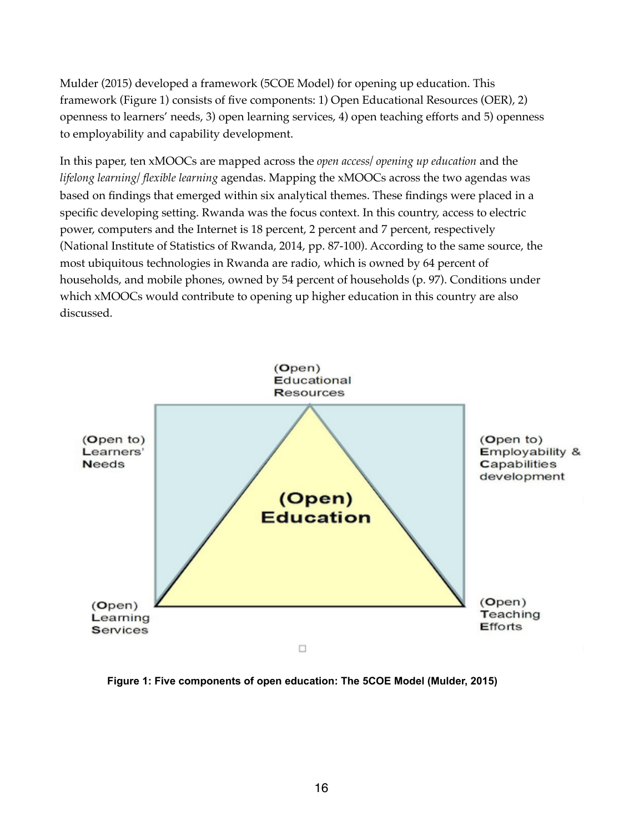Mulder (2015) developed a framework (5COE Model) for opening up education. This framework (Figure 1) consists of five components: 1) Open Educational Resources (OER), 2) openness to learners' needs, 3) open learning services, 4) open teaching efforts and 5) openness to employability and capability development.

In this paper, ten xMOOCs are mapped across the *open access/ opening up education* and the *lifelong learning/ flexible learning* agendas. Mapping the xMOOCs across the two agendas was based on findings that emerged within six analytical themes. These findings were placed in a specific developing setting. Rwanda was the focus context. In this country, access to electric power, computers and the Internet is 18 percent, 2 percent and 7 percent, respectively (National Institute of Statistics of Rwanda, 2014, pp. 87-100). According to the same source, the most ubiquitous technologies in Rwanda are radio, which is owned by 64 percent of households, and mobile phones, owned by 54 percent of households (p. 97). Conditions under which xMOOCs would contribute to opening up higher education in this country are also discussed.



**Figure 1: Five components of open education: The 5COE Model (Mulder, 2015)**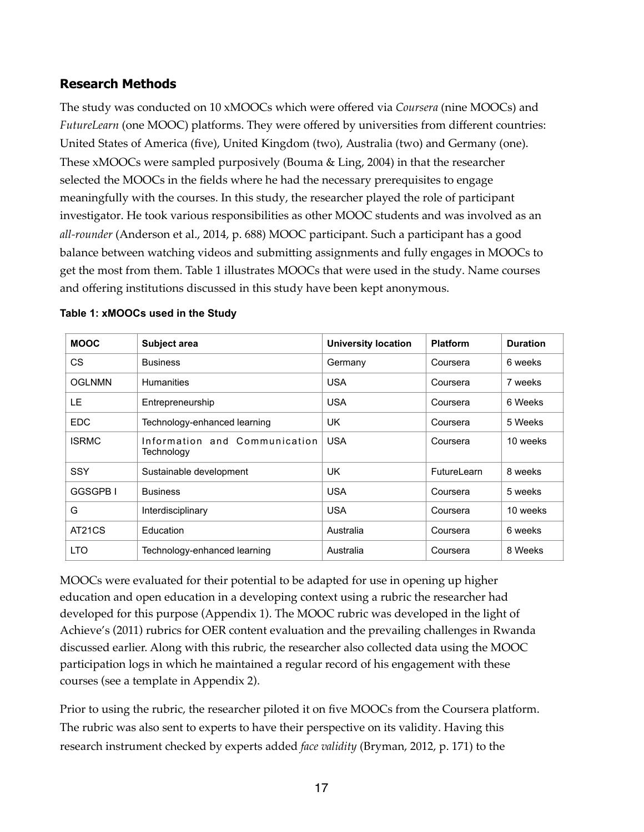## **Research Methods**

The study was conducted on 10 xMOOCs which were offered via *Coursera* (nine MOOCs) and *FutureLearn* (one MOOC) platforms. They were offered by universities from different countries: United States of America (five), United Kingdom (two), Australia (two) and Germany (one). These xMOOCs were sampled purposively (Bouma & Ling, 2004) in that the researcher selected the MOOCs in the fields where he had the necessary prerequisites to engage meaningfully with the courses. In this study, the researcher played the role of participant investigator. He took various responsibilities as other MOOC students and was involved as an *all-rounder* (Anderson et al., 2014, p. 688) MOOC participant. Such a participant has a good balance between watching videos and submitting assignments and fully engages in MOOCs to get the most from them. Table 1 illustrates MOOCs that were used in the study. Name courses and offering institutions discussed in this study have been kept anonymous.

| <b>MOOC</b>   | Subject area                                | <b>University location</b> | <b>Platform</b> | <b>Duration</b> |
|---------------|---------------------------------------------|----------------------------|-----------------|-----------------|
| CS.           | <b>Business</b>                             | Germany                    | Coursera        | 6 weeks         |
| <b>OGLNMN</b> | <b>Humanities</b>                           | <b>USA</b>                 | Coursera        | 7 weeks         |
| LE            | Entrepreneurship                            | <b>USA</b>                 | Coursera        | 6 Weeks         |
| <b>EDC</b>    | Technology-enhanced learning                | UK                         | Coursera        | 5 Weeks         |
| <b>ISRMC</b>  | Information and Communication<br>Technology | <b>USA</b>                 | Coursera        | 10 weeks        |
| <b>SSY</b>    | Sustainable development                     | UK.                        | FutureLearn     | 8 weeks         |
| GGSGPB I      | <b>Business</b>                             | <b>USA</b>                 | Coursera        | 5 weeks         |
| G             | Interdisciplinary                           | <b>USA</b>                 | Coursera        | 10 weeks        |
| AT21CS        | Education                                   | Australia                  | Coursera        | 6 weeks         |
| <b>LTO</b>    | Technology-enhanced learning                | Australia                  | Coursera        | 8 Weeks         |

#### **Table 1: xMOOCs used in the Study**

MOOCs were evaluated for their potential to be adapted for use in opening up higher education and open education in a developing context using a rubric the researcher had developed for this purpose (Appendix 1). The MOOC rubric was developed in the light of Achieve's (2011) rubrics for OER content evaluation and the prevailing challenges in Rwanda discussed earlier. Along with this rubric, the researcher also collected data using the MOOC participation logs in which he maintained a regular record of his engagement with these courses (see a template in Appendix 2).

Prior to using the rubric, the researcher piloted it on five MOOCs from the Coursera platform. The rubric was also sent to experts to have their perspective on its validity. Having this research instrument checked by experts added *face validity* (Bryman, 2012, p. 171) to the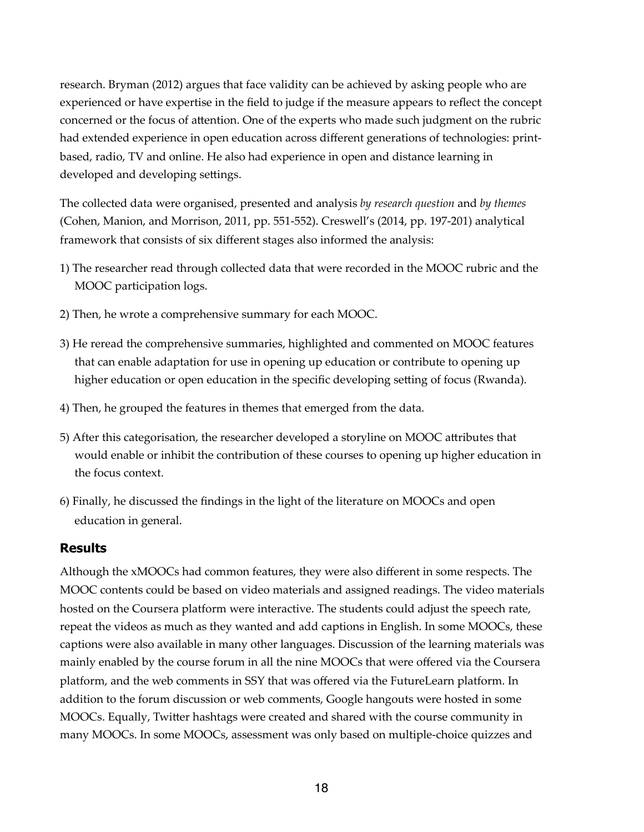research. Bryman (2012) argues that face validity can be achieved by asking people who are experienced or have expertise in the field to judge if the measure appears to reflect the concept concerned or the focus of attention. One of the experts who made such judgment on the rubric had extended experience in open education across different generations of technologies: printbased, radio, TV and online. He also had experience in open and distance learning in developed and developing settings.

The collected data were organised, presented and analysis *by research question* and *by themes* (Cohen, Manion, and Morrison, 2011, pp. 551-552). Creswell's (2014, pp. 197-201) analytical framework that consists of six different stages also informed the analysis:

- 1) The researcher read through collected data that were recorded in the MOOC rubric and the MOOC participation logs.
- 2) Then, he wrote a comprehensive summary for each MOOC.
- 3) He reread the comprehensive summaries, highlighted and commented on MOOC features that can enable adaptation for use in opening up education or contribute to opening up higher education or open education in the specific developing setting of focus (Rwanda).
- 4) Then, he grouped the features in themes that emerged from the data.
- 5) After this categorisation, the researcher developed a storyline on MOOC attributes that would enable or inhibit the contribution of these courses to opening up higher education in the focus context.
- 6) Finally, he discussed the findings in the light of the literature on MOOCs and open education in general.

## **Results**

Although the xMOOCs had common features, they were also different in some respects. The MOOC contents could be based on video materials and assigned readings. The video materials hosted on the Coursera platform were interactive. The students could adjust the speech rate, repeat the videos as much as they wanted and add captions in English. In some MOOCs, these captions were also available in many other languages. Discussion of the learning materials was mainly enabled by the course forum in all the nine MOOCs that were offered via the Coursera platform, and the web comments in SSY that was offered via the FutureLearn platform. In addition to the forum discussion or web comments, Google hangouts were hosted in some MOOCs. Equally, Twitter hashtags were created and shared with the course community in many MOOCs. In some MOOCs, assessment was only based on multiple-choice quizzes and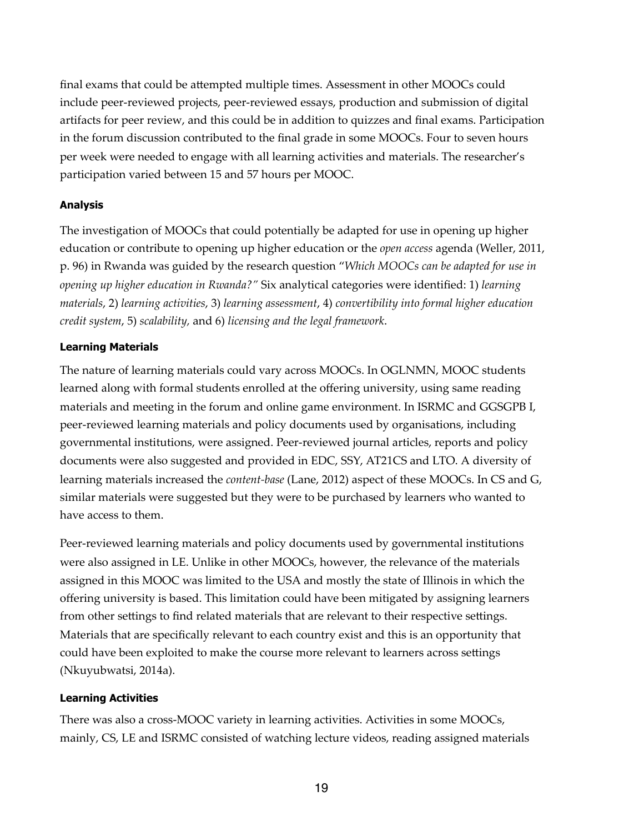final exams that could be attempted multiple times. Assessment in other MOOCs could include peer-reviewed projects, peer-reviewed essays, production and submission of digital artifacts for peer review, and this could be in addition to quizzes and final exams. Participation in the forum discussion contributed to the final grade in some MOOCs. Four to seven hours per week were needed to engage with all learning activities and materials. The researcher's participation varied between 15 and 57 hours per MOOC.

#### **Analysis**

The investigation of MOOCs that could potentially be adapted for use in opening up higher education or contribute to opening up higher education or the *open access* agenda (Weller, 2011, p. 96) in Rwanda was guided by the research question "*Which MOOCs can be adapted for use in opening up higher education in Rwanda?"* Six analytical categories were identified: 1) *learning materials*, 2) *learning activities*, 3) *learning assessment*, 4) *convertibility into formal higher education credit system*, 5) *scalability,* and 6) *licensing and the legal framework*.

#### **Learning Materials**

The nature of learning materials could vary across MOOCs. In OGLNMN, MOOC students learned along with formal students enrolled at the offering university, using same reading materials and meeting in the forum and online game environment. In ISRMC and GGSGPB I, peer-reviewed learning materials and policy documents used by organisations, including governmental institutions, were assigned. Peer-reviewed journal articles, reports and policy documents were also suggested and provided in EDC, SSY, AT21CS and LTO. A diversity of learning materials increased the *content-base* (Lane, 2012) aspect of these MOOCs. In CS and G, similar materials were suggested but they were to be purchased by learners who wanted to have access to them.

Peer-reviewed learning materials and policy documents used by governmental institutions were also assigned in LE. Unlike in other MOOCs, however, the relevance of the materials assigned in this MOOC was limited to the USA and mostly the state of Illinois in which the offering university is based. This limitation could have been mitigated by assigning learners from other settings to find related materials that are relevant to their respective settings. Materials that are specifically relevant to each country exist and this is an opportunity that could have been exploited to make the course more relevant to learners across settings (Nkuyubwatsi, 2014a).

#### **Learning Activities**

There was also a cross-MOOC variety in learning activities. Activities in some MOOCs, mainly, CS, LE and ISRMC consisted of watching lecture videos, reading assigned materials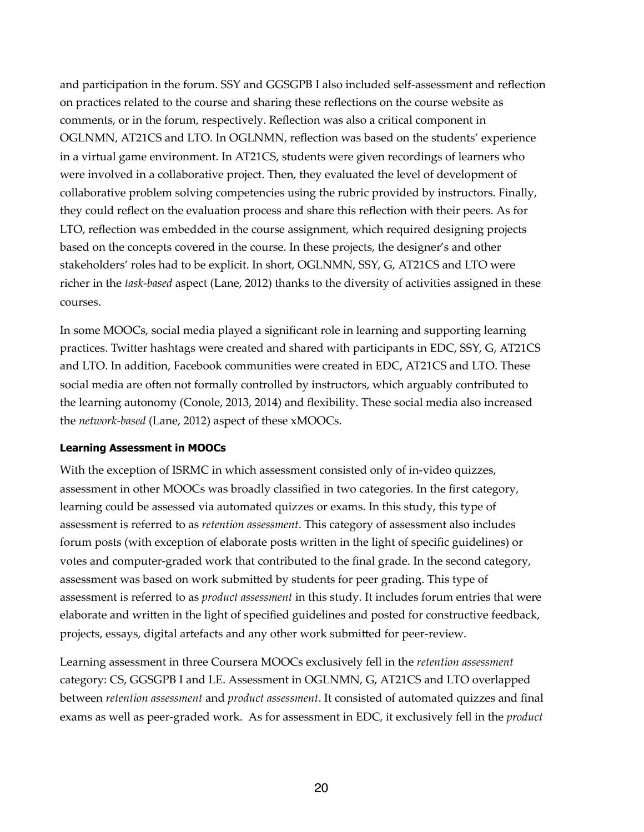and participation in the forum. SSY and GGSGPB I also included self-assessment and reflection on practices related to the course and sharing these reflections on the course website as comments, or in the forum, respectively. Reflection was also a critical component in OGLNMN, AT21CS and LTO. In OGLNMN, reflection was based on the students' experience in a virtual game environment. In AT21CS, students were given recordings of learners who were involved in a collaborative project. Then, they evaluated the level of development of collaborative problem solving competencies using the rubric provided by instructors. Finally, they could reflect on the evaluation process and share this reflection with their peers. As for LTO, reflection was embedded in the course assignment, which required designing projects based on the concepts covered in the course. In these projects, the designer's and other stakeholders' roles had to be explicit. In short, OGLNMN, SSY, G, AT21CS and LTO were richer in the *task-based* aspect (Lane, 2012) thanks to the diversity of activities assigned in these courses.

In some MOOCs, social media played a significant role in learning and supporting learning practices. Twitter hashtags were created and shared with participants in EDC, SSY, G, AT21CS and LTO. In addition, Facebook communities were created in EDC, AT21CS and LTO. These social media are often not formally controlled by instructors, which arguably contributed to the learning autonomy (Conole, 2013, 2014) and flexibility. These social media also increased the *network-based* (Lane, 2012) aspect of these xMOOCs.

## **Learning Assessment in MOOCs**

With the exception of ISRMC in which assessment consisted only of in-video quizzes, assessment in other MOOCs was broadly classified in two categories. In the first category, learning could be assessed via automated quizzes or exams. In this study, this type of assessment is referred to as *retention assessment*. This category of assessment also includes forum posts (with exception of elaborate posts written in the light of specific guidelines) or votes and computer-graded work that contributed to the final grade. In the second category, assessment was based on work submitted by students for peer grading. This type of assessment is referred to as *product assessment* in this study. It includes forum entries that were elaborate and written in the light of specified guidelines and posted for constructive feedback, projects, essays, digital artefacts and any other work submitted for peer-review.

Learning assessment in three Coursera MOOCs exclusively fell in the *retention assessment* category: CS, GGSGPB I and LE. Assessment in OGLNMN, G, AT21CS and LTO overlapped between *retention assessment* and *product assessment*. It consisted of automated quizzes and final exams as well as peer-graded work. As for assessment in EDC, it exclusively fell in the *product*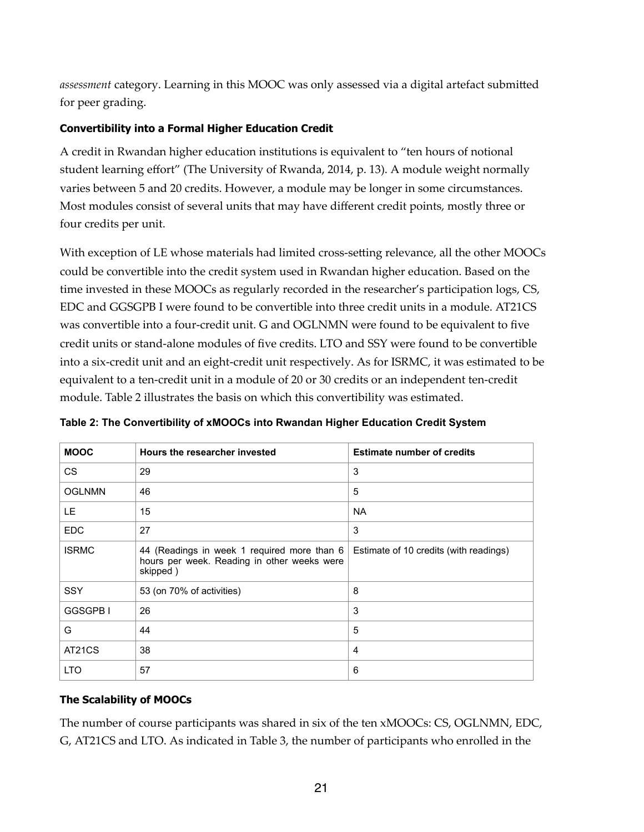assessment category. Learning in this MOOC was only assessed via a digital artefact submitted for peer grading.

## **Convertibility into a Formal Higher Education Credit**

A credit in Rwandan higher education institutions is equivalent to "ten hours of notional student learning effort" (The University of Rwanda, 2014, p. 13). A module weight normally varies between 5 and 20 credits. However, a module may be longer in some circumstances. Most modules consist of several units that may have different credit points, mostly three or four credits per unit.

With exception of LE whose materials had limited cross-setting relevance, all the other MOOCs could be convertible into the credit system used in Rwandan higher education. Based on the time invested in these MOOCs as regularly recorded in the researcher's participation logs, CS, EDC and GGSGPB I were found to be convertible into three credit units in a module. AT21CS was convertible into a four-credit unit. G and OGLNMN were found to be equivalent to five credit units or stand-alone modules of five credits. LTO and SSY were found to be convertible into a six-credit unit and an eight-credit unit respectively. As for ISRMC, it was estimated to be equivalent to a ten-credit unit in a module of 20 or 30 credits or an independent ten-credit module. Table 2 illustrates the basis on which this convertibility was estimated.

| <b>MOOC</b>   | Hours the researcher invested                                                                          | <b>Estimate number of credits</b>      |
|---------------|--------------------------------------------------------------------------------------------------------|----------------------------------------|
| CS            | 29                                                                                                     | 3                                      |
| <b>OGLNMN</b> | 46                                                                                                     | 5                                      |
| LE.           | 15                                                                                                     | <b>NA</b>                              |
| <b>EDC</b>    | 27                                                                                                     | 3                                      |
| <b>ISRMC</b>  | 44 (Readings in week 1 required more than 6<br>hours per week. Reading in other weeks were<br>skipped) | Estimate of 10 credits (with readings) |
| <b>SSY</b>    | 53 (on 70% of activities)                                                                              | 8                                      |
| GGSGPB I      | 26                                                                                                     | 3                                      |
| G             | 44                                                                                                     | 5                                      |
| AT21CS        | 38                                                                                                     | 4                                      |
| <b>LTO</b>    | 57                                                                                                     | 6                                      |

**Table 2: The Convertibility of xMOOCs into Rwandan Higher Education Credit System**

## **The Scalability of MOOCs**

The number of course participants was shared in six of the ten xMOOCs: CS, OGLNMN, EDC, G, AT21CS and LTO. As indicated in Table 3, the number of participants who enrolled in the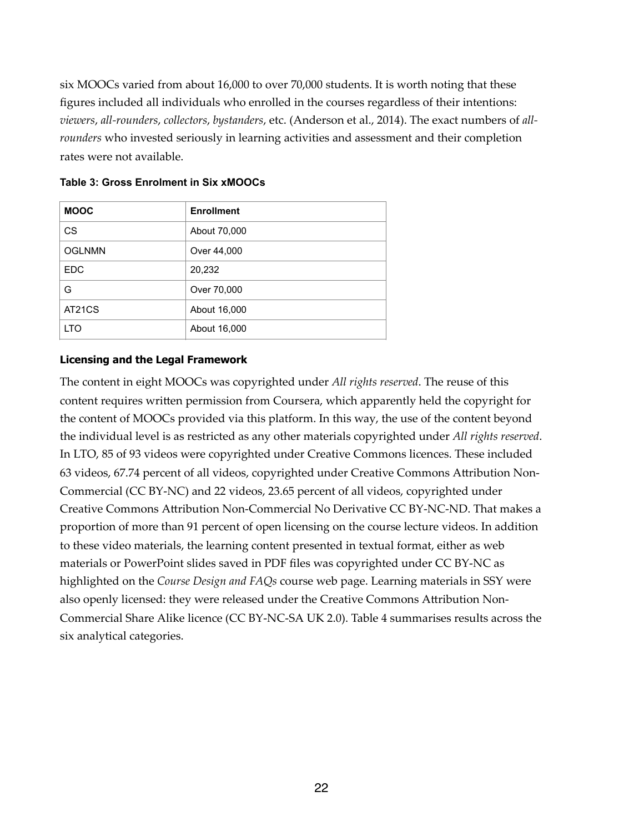six MOOCs varied from about 16,000 to over 70,000 students. It is worth noting that these figures included all individuals who enrolled in the courses regardless of their intentions: *viewers*, *all-rounders*, *collectors*, *bystanders*, etc. (Anderson et al., 2014). The exact numbers of *allrounders* who invested seriously in learning activities and assessment and their completion rates were not available.

| <b>MOOC</b>   | <b>Enrollment</b> |
|---------------|-------------------|
| <b>CS</b>     | About 70,000      |
| <b>OGLNMN</b> | Over 44,000       |
| <b>EDC</b>    | 20,232            |
| G             | Over 70,000       |
| AT21CS        | About 16,000      |
| <b>LTO</b>    | About 16,000      |

#### **Table 3: Gross Enrolment in Six xMOOCs**

#### **Licensing and the Legal Framework**

The content in eight MOOCs was copyrighted under *All rights reserved*. The reuse of this content requires written permission from Coursera, which apparently held the copyright for the content of MOOCs provided via this platform. In this way, the use of the content beyond the individual level is as restricted as any other materials copyrighted under *All rights reserved*. In LTO, 85 of 93 videos were copyrighted under Creative Commons licences. These included 63 videos, 67.74 percent of all videos, copyrighted under Creative Commons Attribution Non-Commercial (CC BY-NC) and 22 videos, 23.65 percent of all videos, copyrighted under Creative Commons Attribution Non-Commercial No Derivative CC BY-NC-ND. That makes a proportion of more than 91 percent of open licensing on the course lecture videos. In addition to these video materials, the learning content presented in textual format, either as web materials or PowerPoint slides saved in PDF files was copyrighted under CC BY-NC as highlighted on the *Course Design and FAQs* course web page. Learning materials in SSY were also openly licensed: they were released under the Creative Commons Attribution Non-Commercial Share Alike licence (CC BY-NC-SA UK 2.0). Table 4 summarises results across the six analytical categories.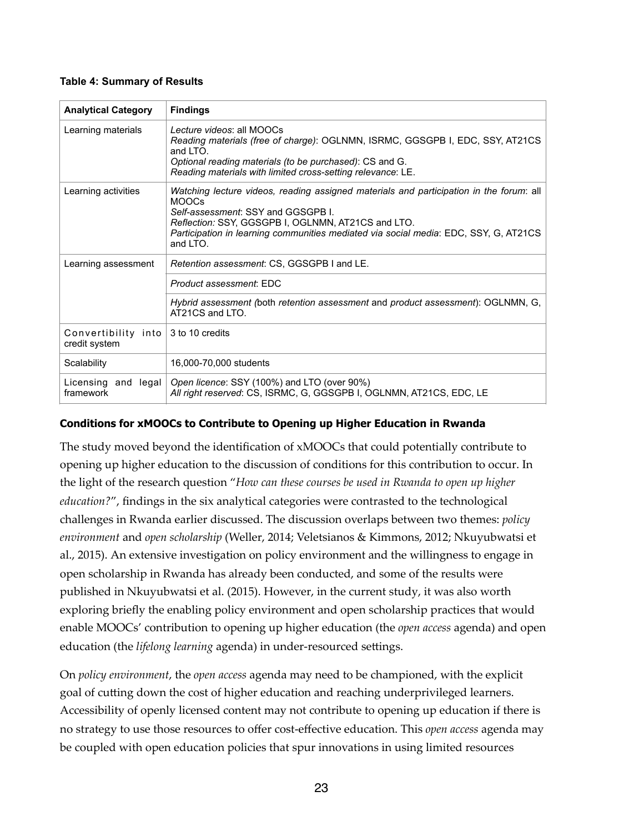#### **Table 4: Summary of Results**

| <b>Analytical Category</b>                | <b>Findings</b>                                                                                                                                                                                                                                                                                        |  |  |  |
|-------------------------------------------|--------------------------------------------------------------------------------------------------------------------------------------------------------------------------------------------------------------------------------------------------------------------------------------------------------|--|--|--|
| Learning materials                        | Lecture videos: all MOOCs<br>Reading materials (free of charge): OGLNMN, ISRMC, GGSGPB I, EDC, SSY, AT21CS<br>and $1TQ$ .<br>Optional reading materials (to be purchased): CS and G.<br>Reading materials with limited cross-setting relevance: LE.                                                    |  |  |  |
| Learning activities                       | Watching lecture videos, reading assigned materials and participation in the forum: all<br><b>MOOCs</b><br>Self-assessment: SSY and GGSGPB L<br>Reflection: SSY, GGSGPB I, OGLNMN, AT21CS and LTO.<br>Participation in learning communities mediated via social media: EDC, SSY, G, AT21CS<br>and LTO. |  |  |  |
| Learning assessment                       | Retention assessment: CS, GGSGPB I and LE.                                                                                                                                                                                                                                                             |  |  |  |
|                                           | Product assessment: EDC                                                                                                                                                                                                                                                                                |  |  |  |
|                                           | Hybrid assessment (both retention assessment and product assessment): OGLNMN, G,<br>AT21CS and LTO.                                                                                                                                                                                                    |  |  |  |
| Convertibility into<br>credit system      | 3 to 10 credits                                                                                                                                                                                                                                                                                        |  |  |  |
| Scalability                               | 16,000-70,000 students                                                                                                                                                                                                                                                                                 |  |  |  |
| Licensing and $\text{legal}$<br>framework | Open licence: SSY (100%) and LTO (over 90%)<br>All right reserved: CS, ISRMC, G, GGSGPB I, OGLNMN, AT21CS, EDC, LE                                                                                                                                                                                     |  |  |  |

## **Conditions for xMOOCs to Contribute to Opening up Higher Education in Rwanda**

The study moved beyond the identification of xMOOCs that could potentially contribute to opening up higher education to the discussion of conditions for this contribution to occur. In the light of the research question "*How can these courses be used in Rwanda to open up higher education?*", findings in the six analytical categories were contrasted to the technological challenges in Rwanda earlier discussed. The discussion overlaps between two themes: *policy environment* and *open scholarship* (Weller, 2014; Veletsianos & Kimmons, 2012; Nkuyubwatsi et al., 2015). An extensive investigation on policy environment and the willingness to engage in open scholarship in Rwanda has already been conducted, and some of the results were published in Nkuyubwatsi et al. (2015). However, in the current study, it was also worth exploring briefly the enabling policy environment and open scholarship practices that would enable MOOCs' contribution to opening up higher education (the *open access* agenda) and open education (the *lifelong learning* agenda) in under-resourced settings.

On *policy environment*, the *open access* agenda may need to be championed, with the explicit goal of cutting down the cost of higher education and reaching underprivileged learners. Accessibility of openly licensed content may not contribute to opening up education if there is no strategy to use those resources to offer cost-effective education. This *open access* agenda may be coupled with open education policies that spur innovations in using limited resources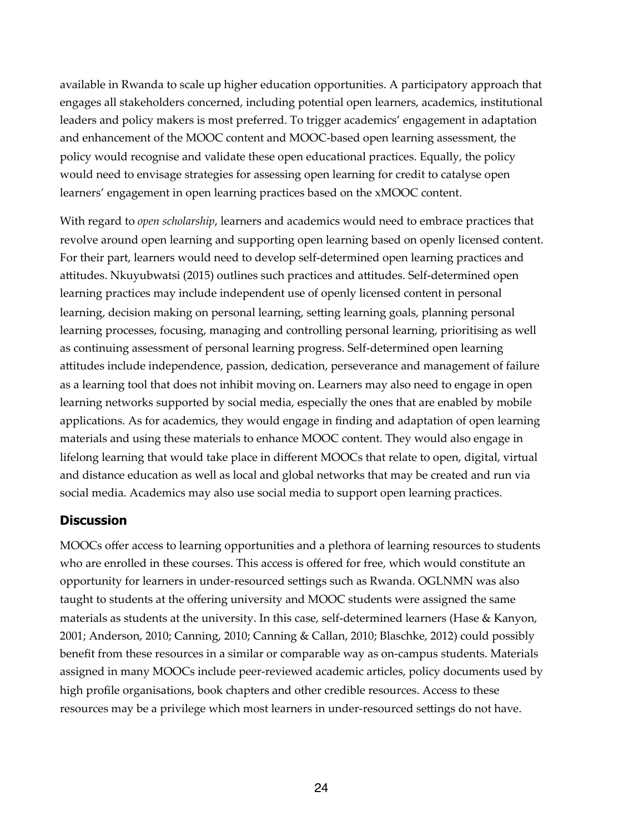available in Rwanda to scale up higher education opportunities. A participatory approach that engages all stakeholders concerned, including potential open learners, academics, institutional leaders and policy makers is most preferred. To trigger academics' engagement in adaptation and enhancement of the MOOC content and MOOC-based open learning assessment, the policy would recognise and validate these open educational practices. Equally, the policy would need to envisage strategies for assessing open learning for credit to catalyse open learners' engagement in open learning practices based on the xMOOC content.

With regard to *open scholarship*, learners and academics would need to embrace practices that revolve around open learning and supporting open learning based on openly licensed content. For their part, learners would need to develop self-determined open learning practices and attitudes. Nkuyubwatsi (2015) outlines such practices and attitudes. Self-determined open learning practices may include independent use of openly licensed content in personal learning, decision making on personal learning, setting learning goals, planning personal learning processes, focusing, managing and controlling personal learning, prioritising as well as continuing assessment of personal learning progress. Self-determined open learning attitudes include independence, passion, dedication, perseverance and management of failure as a learning tool that does not inhibit moving on. Learners may also need to engage in open learning networks supported by social media, especially the ones that are enabled by mobile applications. As for academics, they would engage in finding and adaptation of open learning materials and using these materials to enhance MOOC content. They would also engage in lifelong learning that would take place in different MOOCs that relate to open, digital, virtual and distance education as well as local and global networks that may be created and run via social media. Academics may also use social media to support open learning practices.

## **Discussion**

MOOCs offer access to learning opportunities and a plethora of learning resources to students who are enrolled in these courses. This access is offered for free, which would constitute an opportunity for learners in under-resourced settings such as Rwanda. OGLNMN was also taught to students at the offering university and MOOC students were assigned the same materials as students at the university. In this case, self-determined learners (Hase & Kanyon, 2001; Anderson, 2010; Canning, 2010; Canning & Callan, 2010; Blaschke, 2012) could possibly benefit from these resources in a similar or comparable way as on-campus students. Materials assigned in many MOOCs include peer-reviewed academic articles, policy documents used by high profile organisations, book chapters and other credible resources. Access to these resources may be a privilege which most learners in under-resourced settings do not have.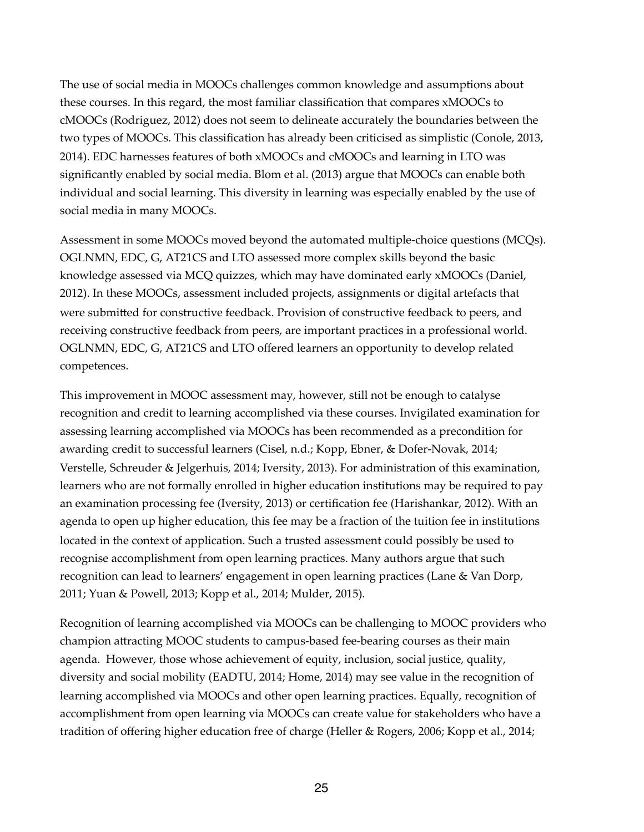The use of social media in MOOCs challenges common knowledge and assumptions about these courses. In this regard, the most familiar classification that compares xMOOCs to cMOOCs (Rodriguez, 2012) does not seem to delineate accurately the boundaries between the two types of MOOCs. This classification has already been criticised as simplistic (Conole, 2013, 2014). EDC harnesses features of both xMOOCs and cMOOCs and learning in LTO was significantly enabled by social media. Blom et al. (2013) argue that MOOCs can enable both individual and social learning. This diversity in learning was especially enabled by the use of social media in many MOOCs.

Assessment in some MOOCs moved beyond the automated multiple-choice questions (MCQs). OGLNMN, EDC, G, AT21CS and LTO assessed more complex skills beyond the basic knowledge assessed via MCQ quizzes, which may have dominated early xMOOCs (Daniel, 2012). In these MOOCs, assessment included projects, assignments or digital artefacts that were submitted for constructive feedback. Provision of constructive feedback to peers, and receiving constructive feedback from peers, are important practices in a professional world. OGLNMN, EDC, G, AT21CS and LTO offered learners an opportunity to develop related competences.

This improvement in MOOC assessment may, however, still not be enough to catalyse recognition and credit to learning accomplished via these courses. Invigilated examination for assessing learning accomplished via MOOCs has been recommended as a precondition for awarding credit to successful learners (Cisel, n.d.; Kopp, Ebner, & Dofer-Novak, 2014; Verstelle, Schreuder & Jelgerhuis, 2014; Iversity, 2013). For administration of this examination, learners who are not formally enrolled in higher education institutions may be required to pay an examination processing fee (Iversity, 2013) or certification fee (Harishankar, 2012). With an agenda to open up higher education, this fee may be a fraction of the tuition fee in institutions located in the context of application. Such a trusted assessment could possibly be used to recognise accomplishment from open learning practices. Many authors argue that such recognition can lead to learners' engagement in open learning practices (Lane & Van Dorp, 2011; Yuan & Powell, 2013; Kopp et al., 2014; Mulder, 2015).

Recognition of learning accomplished via MOOCs can be challenging to MOOC providers who champion attracting MOOC students to campus-based fee-bearing courses as their main agenda. However, those whose achievement of equity, inclusion, social justice, quality, diversity and social mobility (EADTU, 2014; Home, 2014) may see value in the recognition of learning accomplished via MOOCs and other open learning practices. Equally, recognition of accomplishment from open learning via MOOCs can create value for stakeholders who have a tradition of offering higher education free of charge (Heller & Rogers, 2006; Kopp et al., 2014;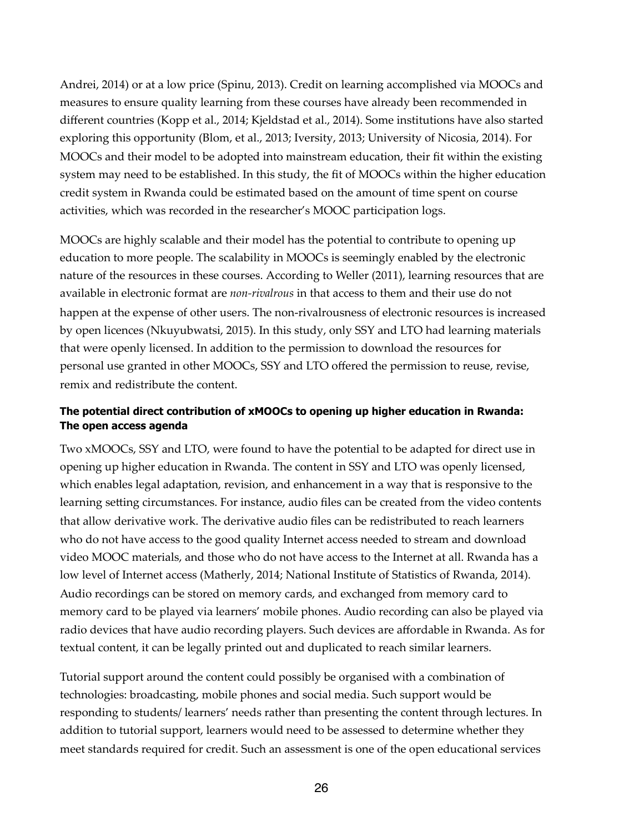Andrei, 2014) or at a low price (Spinu, 2013). Credit on learning accomplished via MOOCs and measures to ensure quality learning from these courses have already been recommended in different countries (Kopp et al., 2014; Kjeldstad et al., 2014). Some institutions have also started exploring this opportunity (Blom, et al., 2013; Iversity, 2013; University of Nicosia, 2014). For MOOCs and their model to be adopted into mainstream education, their fit within the existing system may need to be established. In this study, the fit of MOOCs within the higher education credit system in Rwanda could be estimated based on the amount of time spent on course activities, which was recorded in the researcher's MOOC participation logs.

MOOCs are highly scalable and their model has the potential to contribute to opening up education to more people. The scalability in MOOCs is seemingly enabled by the electronic nature of the resources in these courses. According to Weller (2011), learning resources that are available in electronic format are *non-rivalrous* in that access to them and their use do not happen at the expense of other users. The non-rivalrousness of electronic resources is increased by open licences (Nkuyubwatsi, 2015). In this study, only SSY and LTO had learning materials that were openly licensed. In addition to the permission to download the resources for personal use granted in other MOOCs, SSY and LTO offered the permission to reuse, revise, remix and redistribute the content.

## **The potential direct contribution of xMOOCs to opening up higher education in Rwanda: The open access agenda**

Two xMOOCs, SSY and LTO, were found to have the potential to be adapted for direct use in opening up higher education in Rwanda. The content in SSY and LTO was openly licensed, which enables legal adaptation, revision, and enhancement in a way that is responsive to the learning setting circumstances. For instance, audio files can be created from the video contents that allow derivative work. The derivative audio files can be redistributed to reach learners who do not have access to the good quality Internet access needed to stream and download video MOOC materials, and those who do not have access to the Internet at all. Rwanda has a low level of Internet access (Matherly, 2014; National Institute of Statistics of Rwanda, 2014). Audio recordings can be stored on memory cards, and exchanged from memory card to memory card to be played via learners' mobile phones. Audio recording can also be played via radio devices that have audio recording players. Such devices are affordable in Rwanda. As for textual content, it can be legally printed out and duplicated to reach similar learners.

Tutorial support around the content could possibly be organised with a combination of technologies: broadcasting, mobile phones and social media. Such support would be responding to students/ learners' needs rather than presenting the content through lectures. In addition to tutorial support, learners would need to be assessed to determine whether they meet standards required for credit. Such an assessment is one of the open educational services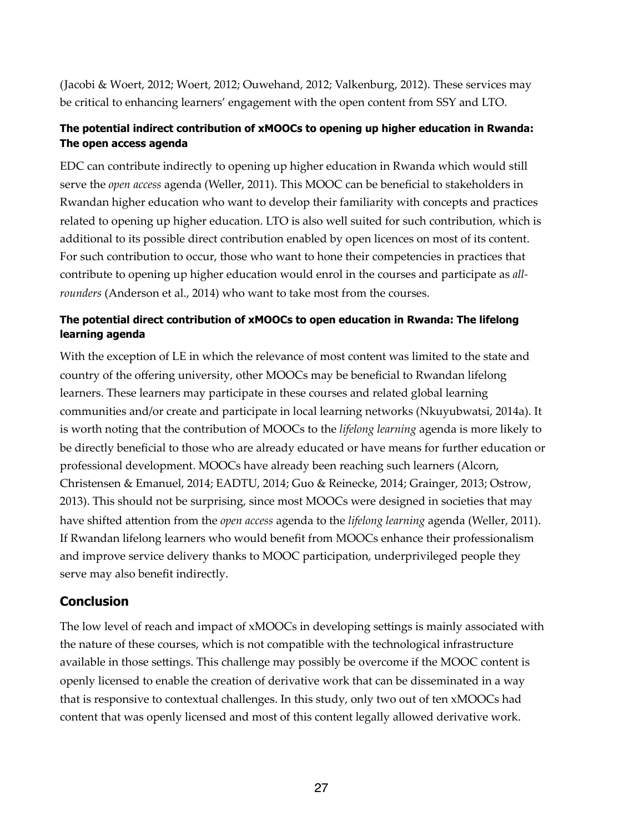(Jacobi & Woert, 2012; Woert, 2012; Ouwehand, 2012; Valkenburg, 2012). These services may be critical to enhancing learners' engagement with the open content from SSY and LTO.

## **The potential indirect contribution of xMOOCs to opening up higher education in Rwanda: The open access agenda**

EDC can contribute indirectly to opening up higher education in Rwanda which would still serve the *open access* agenda (Weller, 2011). This MOOC can be beneficial to stakeholders in Rwandan higher education who want to develop their familiarity with concepts and practices related to opening up higher education. LTO is also well suited for such contribution, which is additional to its possible direct contribution enabled by open licences on most of its content. For such contribution to occur, those who want to hone their competencies in practices that contribute to opening up higher education would enrol in the courses and participate as *allrounders* (Anderson et al., 2014) who want to take most from the courses.

## **The potential direct contribution of xMOOCs to open education in Rwanda: The lifelong learning agenda**

With the exception of LE in which the relevance of most content was limited to the state and country of the offering university, other MOOCs may be beneficial to Rwandan lifelong learners. These learners may participate in these courses and related global learning communities and/or create and participate in local learning networks (Nkuyubwatsi, 2014a). It is worth noting that the contribution of MOOCs to the *lifelong learning* agenda is more likely to be directly beneficial to those who are already educated or have means for further education or professional development. MOOCs have already been reaching such learners (Alcorn, Christensen & Emanuel, 2014; EADTU, 2014; Guo & Reinecke, 2014; Grainger, 2013; Ostrow, 2013). This should not be surprising, since most MOOCs were designed in societies that may have shifted attention from the *open access* agenda to the *lifelong learning* agenda (Weller, 2011). If Rwandan lifelong learners who would benefit from MOOCs enhance their professionalism and improve service delivery thanks to MOOC participation, underprivileged people they serve may also benefit indirectly.

## **Conclusion**

The low level of reach and impact of xMOOCs in developing settings is mainly associated with the nature of these courses, which is not compatible with the technological infrastructure available in those settings. This challenge may possibly be overcome if the MOOC content is openly licensed to enable the creation of derivative work that can be disseminated in a way that is responsive to contextual challenges. In this study, only two out of ten xMOOCs had content that was openly licensed and most of this content legally allowed derivative work.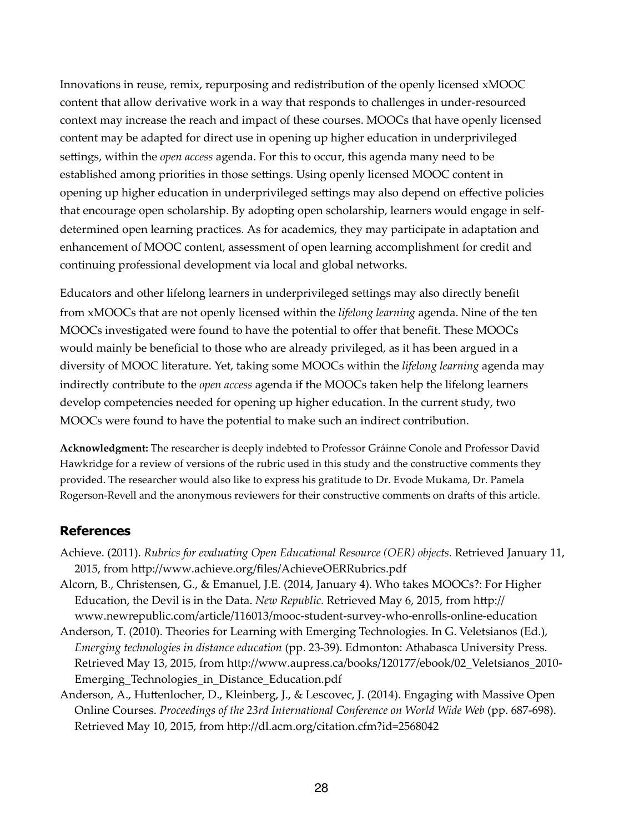Innovations in reuse, remix, repurposing and redistribution of the openly licensed xMOOC content that allow derivative work in a way that responds to challenges in under-resourced context may increase the reach and impact of these courses. MOOCs that have openly licensed content may be adapted for direct use in opening up higher education in underprivileged settings, within the *open access* agenda. For this to occur, this agenda many need to be established among priorities in those settings. Using openly licensed MOOC content in opening up higher education in underprivileged settings may also depend on effective policies that encourage open scholarship. By adopting open scholarship, learners would engage in selfdetermined open learning practices. As for academics, they may participate in adaptation and enhancement of MOOC content, assessment of open learning accomplishment for credit and continuing professional development via local and global networks.

Educators and other lifelong learners in underprivileged settings may also directly benefit from xMOOCs that are not openly licensed within the *lifelong learning* agenda. Nine of the ten MOOCs investigated were found to have the potential to offer that benefit. These MOOCs would mainly be beneficial to those who are already privileged, as it has been argued in a diversity of MOOC literature. Yet, taking some MOOCs within the *lifelong learning* agenda may indirectly contribute to the *open access* agenda if the MOOCs taken help the lifelong learners develop competencies needed for opening up higher education. In the current study, two MOOCs were found to have the potential to make such an indirect contribution.

**Acknowledgment:** The researcher is deeply indebted to Professor Gráinne Conole and Professor David Hawkridge for a review of versions of the rubric used in this study and the constructive comments they provided. The researcher would also like to express his gratitude to Dr. Evode Mukama, Dr. Pamela Rogerson-Revell and the anonymous reviewers for their constructive comments on drafts of this article.

## **References**

- Achieve. (2011). *Rubrics for evaluating Open Educational Resource (OER) objects.* Retrieved January 11, 2015, from http://www.achieve.org/files/AchieveOERRubrics.pdf
- Alcorn, B., Christensen, G., & Emanuel, J.E. (2014, January 4). Who takes MOOCs?: For Higher Education, the Devil is in the Data. *New Republic*. Retrieved May 6, 2015, from http:// www.newrepublic.com/article/116013/mooc-student-survey-who-enrolls-online-education
- Anderson, T. (2010). Theories for Learning with Emerging Technologies. In G. Veletsianos (Ed.), *Emerging technologies in distance education* (pp. 23-39). Edmonton: Athabasca University Press. Retrieved May 13, 2015, from http://www.aupress.ca/books/120177/ebook/02\_Veletsianos\_2010-Emerging\_Technologies\_in\_Distance\_Education.pdf
- Anderson, A., Huttenlocher, D., Kleinberg, J., & Lescovec, J. (2014). Engaging with Massive Open Online Courses. *Proceedings of the 23rd International Conference on World Wide Web* (pp. 687-698). Retrieved May 10, 2015, from http://dl.acm.org/citation.cfm?id=2568042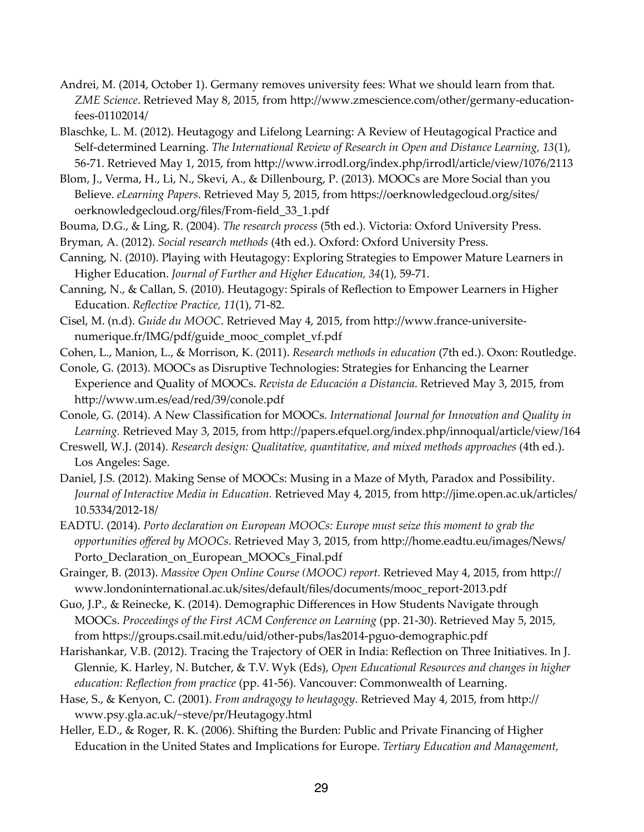- Andrei, M. (2014, October 1). Germany removes university fees: What we should learn from that. *ZME Science*. Retrieved May 8, 2015, from http://www.zmescience.com/other/germany-educationfees-01102014/
- Blaschke, L. M. (2012). Heutagogy and Lifelong Learning: A Review of Heutagogical Practice and Self-determined Learning. *The International Review of Research in Open and Distance Learning, 13*(1), 56-71. Retrieved May 1, 2015, from http://www.irrodl.org/index.php/irrodl/article/view/1076/2113
- Blom, J., Verma, H., Li, N., Skevi, A., & Dillenbourg, P. (2013). MOOCs are More Social than you Believe. *eLearning Papers*. Retrieved May 5, 2015, from https://oerknowledgecloud.org/sites/ oerknowledgecloud.org/files/From-field\_33\_1.pdf
- Bouma, D.G., & Ling, R. (2004). *The research process* (5th ed.). Victoria: Oxford University Press.
- Bryman, A. (2012). *Social research methods* (4th ed.). Oxford: Oxford University Press.
- Canning, N. (2010). Playing with Heutagogy: Exploring Strategies to Empower Mature Learners in Higher Education. *Journal of Further and Higher Education, 34*(1), 59-71.
- Canning, N., & Callan, S. (2010). Heutagogy: Spirals of Reflection to Empower Learners in Higher Education. *Reflective Practice, 11*(1), 71-82.
- Cisel, M. (n.d). *Guide du MOOC*. Retrieved May 4, 2015, from http://www.france-universitenumerique.fr/IMG/pdf/guide\_mooc\_complet\_vf.pdf
- Cohen, L., Manion, L., & Morrison, K. (2011). *Research methods in education* (7th ed.). Oxon: Routledge.
- Conole, G. (2013). MOOCs as Disruptive Technologies: Strategies for Enhancing the Learner Experience and Quality of MOOCs. *Revista de Educación a Distancia*. Retrieved May 3, 2015, from http://www.um.es/ead/red/39/conole.pdf
- Conole, G. (2014). A New Classification for MOOCs. *International Journal for Innovation and Quality in*  Learning. Retrieved May 3, 2015, from http://papers.efquel.org/index.php/innoqual/article/view/164
- Creswell, W.J. (2014). *Research design: Qualitative, quantitative, and mixed methods approaches* (4th ed.). Los Angeles: Sage.
- Daniel, J.S. (2012). Making Sense of MOOCs: Musing in a Maze of Myth, Paradox and Possibility. *Journal of Interactive Media in Education.* Retrieved May 4, 2015, from http://jime.open.ac.uk/articles/ 10.5334/2012-18/
- EADTU. (2014). *Porto declaration on European MOOCs: Europe must seize this moment to grab the opportunities offered by MOOCs.* Retrieved May 3, 2015, from http://home.eadtu.eu/images/News/ Porto\_Declaration\_on\_European\_MOOCs\_Final.pdf
- Grainger, B. (2013). *Massive Open Online Course (MOOC) report*. Retrieved May 4, 2015, from http:// www.londoninternational.ac.uk/sites/default/files/documents/mooc\_report-2013.pdf
- Guo, J.P., & Reinecke, K. (2014). Demographic Differences in How Students Navigate through MOOCs. *Proceedings of the First ACM Conference on Learning* (pp. 21-30). Retrieved May 5, 2015, from https://groups.csail.mit.edu/uid/other-pubs/las2014-pguo-demographic.pdf
- Harishankar, V.B. (2012). Tracing the Trajectory of OER in India: Reflection on Three Initiatives. In J. Glennie, K. Harley, N. Butcher, & T.V. Wyk (Eds), *Open Educational Resources and changes in higher education: Reflection from practice* (pp. 41-56). Vancouver: Commonwealth of Learning.
- Hase, S., & Kenyon, C. (2001). *From andragogy to heutagogy*. Retrieved May 4, 2015, from http:// www.psy.gla.ac.uk/~steve/pr/Heutagogy.html
- Heller, E.D., & Roger, R. K. (2006). Shifting the Burden: Public and Private Financing of Higher Education in the United States and Implications for Europe. *Tertiary Education and Management,*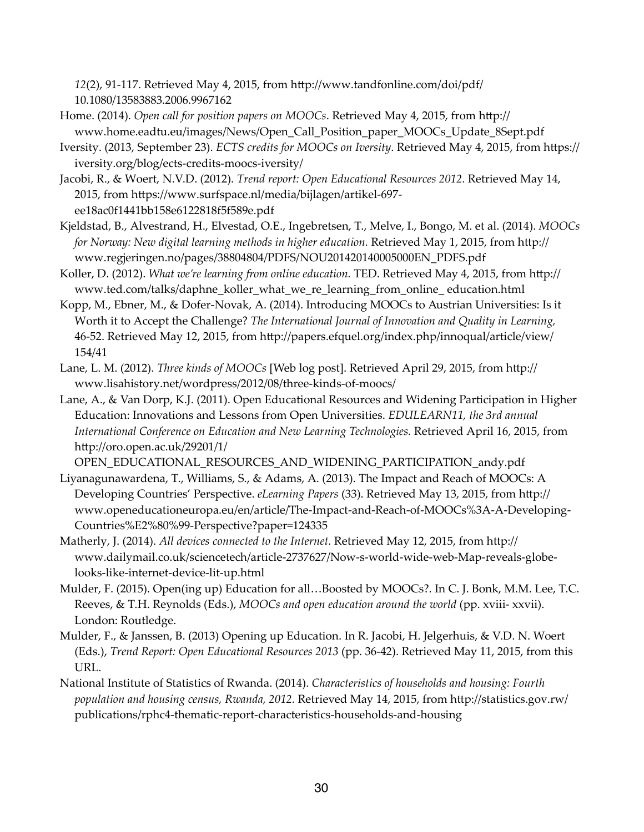12(2), 91-117. Retrieved May 4, 2015, from http://www.tandfonline.com/doi/pdf/ 10.1080/13583883.2006.9967162

- Home. (2014). *Open call for position papers on MOOCs*. Retrieved May 4, 2015, from http:// www.home.eadtu.eu/images/News/Open\_Call\_Position\_paper\_MOOCs\_Update\_8Sept.pdf
- Iversity. (2013, September 23). *ECTS credits for MOOCs on Iversity*. Retrieved May 4, 2015, from https:// iversity.org/blog/ects-credits-moocs-iversity/
- Jacobi, R., & Woert, N.V.D. (2012). *Trend report: Open Educational Resources 2012.* Retrieved May 14, 2015, from https://www.surfspace.nl/media/bijlagen/artikel-697ee18ac0f1441bb158e6122818f5f589e.pdf
- Kjeldstad, B., Alvestrand, H., Elvestad, O.E., Ingebretsen, T., Melve, I., Bongo, M. et al. (2014). *MOOCs for Norway: New digital learning methods in higher education. Retrieved May 1, 2015, from http://* www.regjeringen.no/pages/38804804/PDFS/NOU201420140005000EN\_PDFS.pdf
- Koller, D. (2012). *What we're learning from online education*. TED. Retrieved May 4, 2015, from http:// www.ted.com/talks/daphne\_koller\_what\_we\_re\_learning\_from\_online\_ education.html
- Kopp, M., Ebner, M., & Dofer-Novak, A. (2014). Introducing MOOCs to Austrian Universities: Is it Worth it to Accept the Challenge? *The International Journal of Innovation and Quality in Learning,* 46-52. Retrieved May 12, 2015, from http://papers.efquel.org/index.php/innoqual/article/view/ 154/41
- Lane, L. M. (2012). *Three kinds of MOOCs* [Web log post]. Retrieved April 29, 2015, from http:// www.lisahistory.net/wordpress/2012/08/three-kinds-of-moocs/
- Lane, A., & Van Dorp, K.J. (2011). Open Educational Resources and Widening Participation in Higher Education: Innovations and Lessons from Open Universities. *EDULEARN11, the 3rd annual International Conference on Education and New Learning Technologies.* Retrieved April 16, 2015, from http://oro.open.ac.uk/29201/1/

OPEN\_EDUCATIONAL\_RESOURCES\_AND\_WIDENING\_PARTICIPATION\_andy.pdf

- Liyanagunawardena, T., Williams, S., & Adams, A. (2013). The Impact and Reach of MOOCs: A Developing Countries' Perspective. *eLearning Papers* (33). Retrieved May 13, 2015, from http:// www.openeducationeuropa.eu/en/article/The-Impact-and-Reach-of-MOOCs%3A-A-Developing-Countries%E2%80%99-Perspective?paper=124335
- Matherly, J. (2014). *All devices connected to the Internet*. Retrieved May 12, 2015, from http:// www.dailymail.co.uk/sciencetech/article-2737627/Now-s-world-wide-web-Map-reveals-globelooks-like-internet-device-lit-up.html
- Mulder, F. (2015). Open(ing up) Education for all…Boosted by MOOCs?. In C. J. Bonk, M.M. Lee, T.C. Reeves, & T.H. Reynolds (Eds.), *MOOCs and open education around the world* (pp. xviii- xxvii). London: Routledge.
- Mulder, F., & Janssen, B. (2013) Opening up Education. In R. Jacobi, H. Jelgerhuis, & V.D. N. Woert (Eds.), *Trend Report: Open Educational Resources 2013* (pp. 36-42). Retrieved May 11, 2015, from this URL.
- National Institute of Statistics of Rwanda. (2014). *Characteristics of households and housing: Fourth*  population and housing census, Rwanda, 2012. Retrieved May 14, 2015, from http://statistics.gov.rw/ publications/rphc4-thematic-report-characteristics-households-and-housing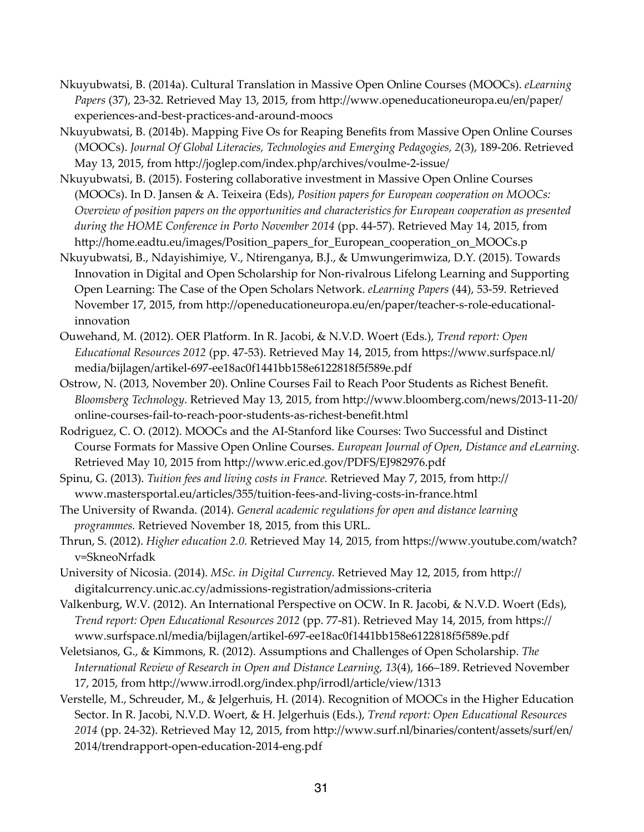- Nkuyubwatsi, B. (2014a). Cultural Translation in Massive Open Online Courses (MOOCs). *eLearning Papers* (37), 23-32. Retrieved May 13, 2015, from http://www.openeducationeuropa.eu/en/paper/ experiences-and-best-practices-and-around-moocs
- Nkuyubwatsi, B. (2014b). Mapping Five Os for Reaping Benefits from Massive Open Online Courses (MOOCs). *Journal Of Global Literacies, Technologies and Emerging Pedagogies, 2*(3), 189-206. Retrieved May 13, 2015, from http://joglep.com/index.php/archives/voulme-2-issue/
- Nkuyubwatsi, B. (2015). Fostering collaborative investment in Massive Open Online Courses (MOOCs). In D. Jansen & A. Teixeira (Eds), *Position papers for European cooperation on MOOCs: Overview of position papers on the opportunities and characteristics for European cooperation as presented during the HOME Conference in Porto November 2014* (pp. 44-57). Retrieved May 14, 2015, from http://home.eadtu.eu/images/Position\_papers\_for\_European\_cooperation\_on\_MOOCs.p
- Nkuyubwatsi, B., Ndayishimiye, V., Ntirenganya, B.J., & Umwungerimwiza, D.Y. (2015). Towards Innovation in Digital and Open Scholarship for Non-rivalrous Lifelong Learning and Supporting Open Learning: The Case of the Open Scholars Network. *eLearning Papers* (44), 53-59. Retrieved November 17, 2015, from http://openeducationeuropa.eu/en/paper/teacher-s-role-educationalinnovation
- Ouwehand, M. (2012). OER Platform. In R. Jacobi, & N.V.D. Woert (Eds.), *Trend report: Open Educational Resources 2012* (pp. 47-53). Retrieved May 14, 2015, from https://www.surfspace.nl/ media/bijlagen/artikel-697-ee18ac0f1441bb158e6122818f5f589e.pdf
- Ostrow, N. (2013, November 20). Online Courses Fail to Reach Poor Students as Richest Benefit. *Bloomsberg Technology*. Retrieved May 13, 2015, from http://www.bloomberg.com/news/2013-11-20/ online-courses-fail-to-reach-poor-students-as-richest-benefit.html
- Rodriguez, C. O. (2012). MOOCs and the AI-Stanford like Courses: Two Successful and Distinct Course Formats for Massive Open Online Courses. *European Journal of Open, Distance and eLearning.* Retrieved May 10, 2015 from http://www.eric.ed.gov/PDFS/EJ982976.pdf
- Spinu, G. (2013). *Tuition fees and living costs in France*. Retrieved May 7, 2015, from http:// www.mastersportal.eu/articles/355/tuition-fees-and-living-costs-in-france.html
- The University of Rwanda. (2014). *General academic regulations for open and distance learning programmes.* Retrieved November 18, 2015, from this URL.
- Thrun, S. (2012). *Higher education 2.0.* Retrieved May 14, 2015, from https://www.youtube.com/watch? v=SkneoNrfadk
- University of Nicosia. (2014). *MSc. in Digital Currency*. Retrieved May 12, 2015, from http:// digitalcurrency.unic.ac.cy/admissions-registration/admissions-criteria
- Valkenburg, W.V. (2012). An International Perspective on OCW. In R. Jacobi, & N.V.D. Woert (Eds), *Trend report: Open Educational Resources 2012* (pp. 77-81). Retrieved May 14, 2015, from https:// www.surfspace.nl/media/bijlagen/artikel-697-ee18ac0f1441bb158e6122818f5f589e.pdf
- Veletsianos, G., & Kimmons, R. (2012). Assumptions and Challenges of Open Scholarship. *The International Review of Research in Open and Distance Learning, 13*(4), 166–189. Retrieved November 17, 2015, from http://www.irrodl.org/index.php/irrodl/article/view/1313
- Verstelle, M., Schreuder, M., & Jelgerhuis, H. (2014). Recognition of MOOCs in the Higher Education Sector. In R. Jacobi, N.V.D. Woert, & H. Jelgerhuis (Eds.), *Trend report: Open Educational Resources*  2014 (pp. 24-32). Retrieved May 12, 2015, from http://www.surf.nl/binaries/content/assets/surf/en/ 2014/trendrapport-open-education-2014-eng.pdf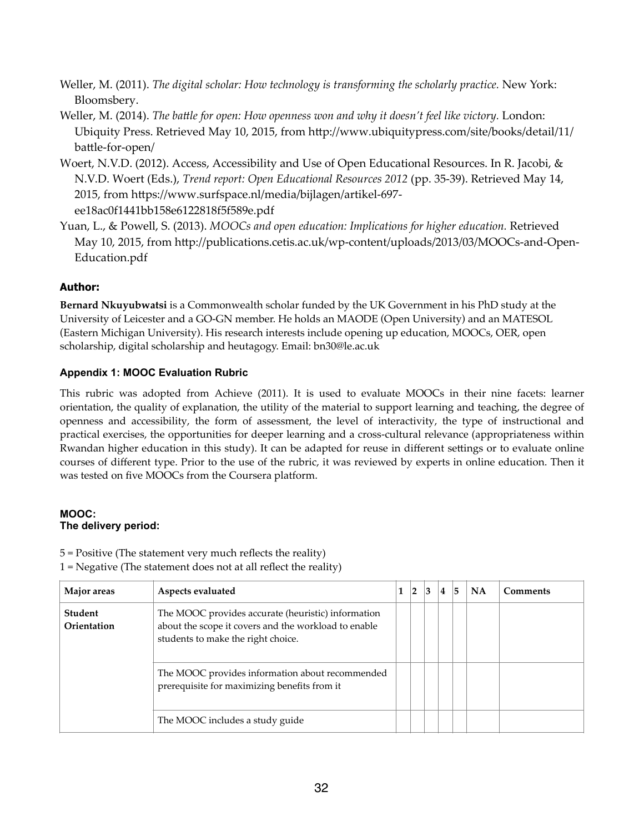- Weller, M. (2011). *The digital scholar: How technology is transforming the scholarly practice.* New York: Bloomsbery.
- Weller, M. (2014). *The battle for open: How openness won and why it doesn't feel like victory*. London: Ubiquity Press. Retrieved May 10, 2015, from http://www.ubiquitypress.com/site/books/detail/11/ battle-for-open/
- Woert, N.V.D. (2012). Access, Accessibility and Use of Open Educational Resources. In R. Jacobi, & N.V.D. Woert (Eds.), *Trend report: Open Educational Resources 2012* (pp. 35-39). Retrieved May 14, 2015, from https://www.surfspace.nl/media/bijlagen/artikel-697ee18ac0f1441bb158e6122818f5f589e.pdf
- Yuan, L., & Powell, S. (2013). *MOOCs and open education: Implications for higher education.* Retrieved May 10, 2015, from http://publications.cetis.ac.uk/wp-content/uploads/2013/03/MOOCs-and-Open-Education.pdf

## **Author:**

**Bernard Nkuyubwatsi** is a Commonwealth scholar funded by the UK Government in his PhD study at the University of Leicester and a GO-GN member. He holds an MAODE (Open University) and an MATESOL (Eastern Michigan University). His research interests include opening up education, MOOCs, OER, open scholarship, digital scholarship and heutagogy. Email: bn30@le.ac.uk

## **Appendix 1: MOOC Evaluation Rubric**

This rubric was adopted from Achieve (2011). It is used to evaluate MOOCs in their nine facets: learner orientation, the quality of explanation, the utility of the material to support learning and teaching, the degree of openness and accessibility, the form of assessment, the level of interactivity, the type of instructional and practical exercises, the opportunities for deeper learning and a cross-cultural relevance (appropriateness within Rwandan higher education in this study). It can be adapted for reuse in different settings or to evaluate online courses of different type. Prior to the use of the rubric, it was reviewed by experts in online education. Then it was tested on five MOOCs from the Coursera platform.

#### **MOOC: The delivery period:**

5 = Positive (The statement very much reflects the reality) 1 = Negative (The statement does not at all reflect the reality)

| Major areas            | Aspects evaluated                                                                                                                                |  | 3 | 4 | 15 | <b>NA</b> | <b>Comments</b> |
|------------------------|--------------------------------------------------------------------------------------------------------------------------------------------------|--|---|---|----|-----------|-----------------|
| Student<br>Orientation | The MOOC provides accurate (heuristic) information<br>about the scope it covers and the workload to enable<br>students to make the right choice. |  |   |   |    |           |                 |
|                        | The MOOC provides information about recommended<br>prerequisite for maximizing benefits from it                                                  |  |   |   |    |           |                 |
|                        | The MOOC includes a study guide                                                                                                                  |  |   |   |    |           |                 |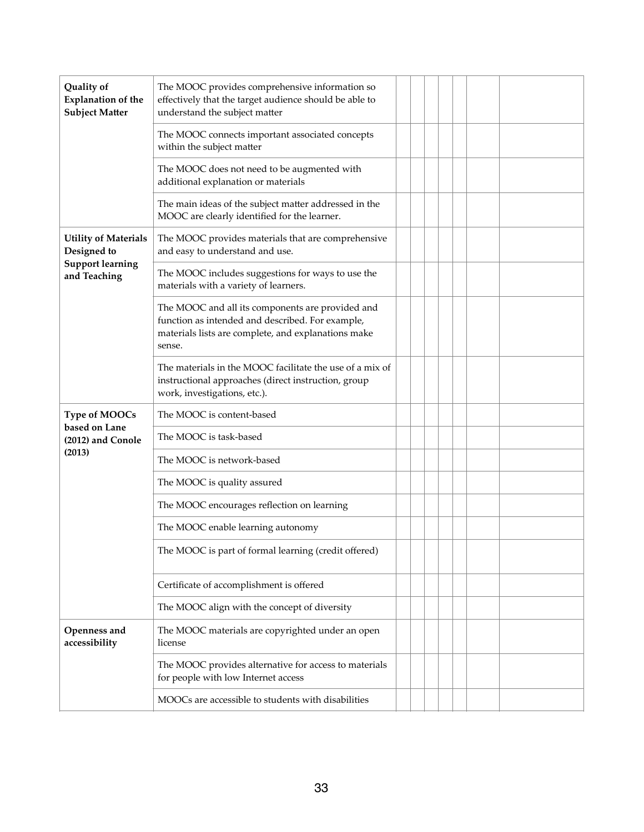| Quality of<br><b>Explanation of the</b><br><b>Subject Matter</b> | The MOOC provides comprehensive information so<br>effectively that the target audience should be able to<br>understand the subject matter                             |  |  |  |  |  |
|------------------------------------------------------------------|-----------------------------------------------------------------------------------------------------------------------------------------------------------------------|--|--|--|--|--|
|                                                                  | The MOOC connects important associated concepts<br>within the subject matter                                                                                          |  |  |  |  |  |
|                                                                  | The MOOC does not need to be augmented with<br>additional explanation or materials                                                                                    |  |  |  |  |  |
|                                                                  | The main ideas of the subject matter addressed in the<br>MOOC are clearly identified for the learner.                                                                 |  |  |  |  |  |
| <b>Utility of Materials</b><br>Designed to                       | The MOOC provides materials that are comprehensive<br>and easy to understand and use.                                                                                 |  |  |  |  |  |
| <b>Support learning</b><br>and Teaching                          | The MOOC includes suggestions for ways to use the<br>materials with a variety of learners.                                                                            |  |  |  |  |  |
|                                                                  | The MOOC and all its components are provided and<br>function as intended and described. For example,<br>materials lists are complete, and explanations make<br>sense. |  |  |  |  |  |
|                                                                  | The materials in the MOOC facilitate the use of a mix of<br>instructional approaches (direct instruction, group<br>work, investigations, etc.).                       |  |  |  |  |  |
| <b>Type of MOOCs</b>                                             | The MOOC is content-based                                                                                                                                             |  |  |  |  |  |
| based on Lane<br>(2012) and Conole                               | The MOOC is task-based                                                                                                                                                |  |  |  |  |  |
| (2013)                                                           | The MOOC is network-based                                                                                                                                             |  |  |  |  |  |
|                                                                  | The MOOC is quality assured                                                                                                                                           |  |  |  |  |  |
|                                                                  | The MOOC encourages reflection on learning                                                                                                                            |  |  |  |  |  |
|                                                                  | The MOOC enable learning autonomy                                                                                                                                     |  |  |  |  |  |
|                                                                  | The MOOC is part of formal learning (credit offered)                                                                                                                  |  |  |  |  |  |
|                                                                  | Certificate of accomplishment is offered                                                                                                                              |  |  |  |  |  |
|                                                                  | The MOOC align with the concept of diversity                                                                                                                          |  |  |  |  |  |
| Openness and<br>accessibility                                    | The MOOC materials are copyrighted under an open<br>license                                                                                                           |  |  |  |  |  |
|                                                                  | The MOOC provides alternative for access to materials<br>for people with low Internet access                                                                          |  |  |  |  |  |
|                                                                  | MOOCs are accessible to students with disabilities                                                                                                                    |  |  |  |  |  |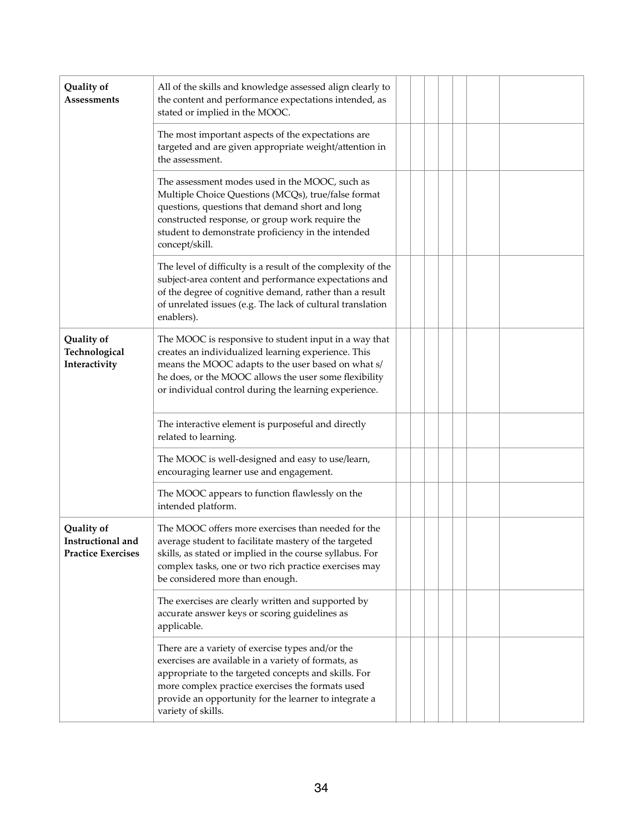| Quality of<br><b>Assessments</b>                             | All of the skills and knowledge assessed align clearly to<br>the content and performance expectations intended, as<br>stated or implied in the MOOC.                                                                                                                                               |
|--------------------------------------------------------------|----------------------------------------------------------------------------------------------------------------------------------------------------------------------------------------------------------------------------------------------------------------------------------------------------|
|                                                              | The most important aspects of the expectations are<br>targeted and are given appropriate weight/attention in<br>the assessment.                                                                                                                                                                    |
|                                                              | The assessment modes used in the MOOC, such as<br>Multiple Choice Questions (MCQs), true/false format<br>questions, questions that demand short and long<br>constructed response, or group work require the<br>student to demonstrate proficiency in the intended<br>concept/skill.                |
|                                                              | The level of difficulty is a result of the complexity of the<br>subject-area content and performance expectations and<br>of the degree of cognitive demand, rather than a result<br>of unrelated issues (e.g. The lack of cultural translation<br>enablers).                                       |
| Quality of<br>Technological<br>Interactivity                 | The MOOC is responsive to student input in a way that<br>creates an individualized learning experience. This<br>means the MOOC adapts to the user based on what s/<br>he does, or the MOOC allows the user some flexibility<br>or individual control during the learning experience.               |
|                                                              | The interactive element is purposeful and directly<br>related to learning.                                                                                                                                                                                                                         |
|                                                              | The MOOC is well-designed and easy to use/learn,<br>encouraging learner use and engagement.                                                                                                                                                                                                        |
|                                                              | The MOOC appears to function flawlessly on the<br>intended platform.                                                                                                                                                                                                                               |
| Quality of<br>Instructional and<br><b>Practice Exercises</b> | The MOOC offers more exercises than needed for the<br>average student to facilitate mastery of the targeted<br>skills, as stated or implied in the course syllabus. For<br>complex tasks, one or two rich practice exercises may<br>be considered more than enough.                                |
|                                                              | The exercises are clearly written and supported by<br>accurate answer keys or scoring guidelines as<br>applicable.                                                                                                                                                                                 |
|                                                              | There are a variety of exercise types and/or the<br>exercises are available in a variety of formats, as<br>appropriate to the targeted concepts and skills. For<br>more complex practice exercises the formats used<br>provide an opportunity for the learner to integrate a<br>variety of skills. |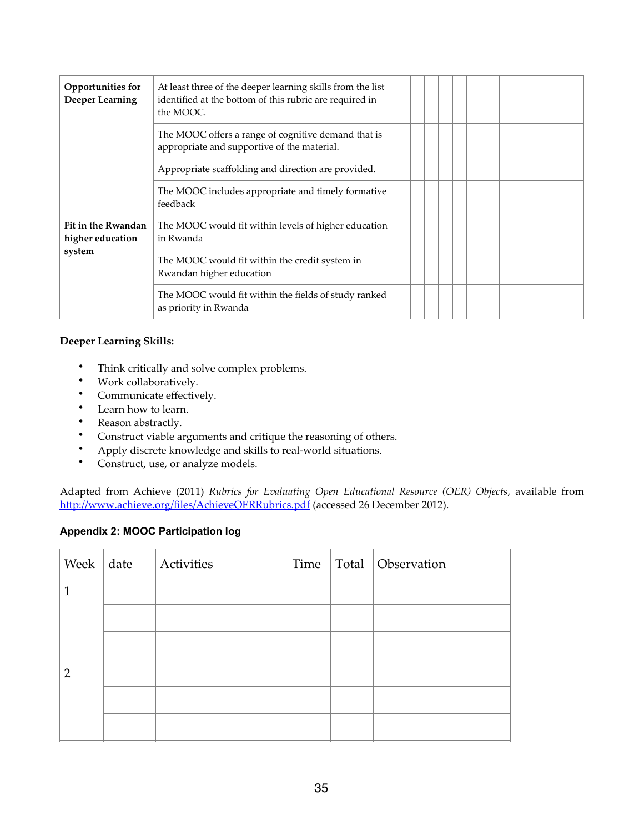| Opportunities for<br><b>Deeper Learning</b> | At least three of the deeper learning skills from the list<br>identified at the bottom of this rubric are required in<br>the MOOC. |
|---------------------------------------------|------------------------------------------------------------------------------------------------------------------------------------|
|                                             | The MOOC offers a range of cognitive demand that is<br>appropriate and supportive of the material.                                 |
|                                             | Appropriate scaffolding and direction are provided.                                                                                |
|                                             | The MOOC includes appropriate and timely formative<br>feedback                                                                     |
| Fit in the Rwandan<br>higher education      | The MOOC would fit within levels of higher education<br>in Rwanda                                                                  |
| system                                      | The MOOC would fit within the credit system in<br>Rwandan higher education                                                         |
|                                             | The MOOC would fit within the fields of study ranked<br>as priority in Rwanda                                                      |

#### **Deeper Learning Skills:**

- Think critically and solve complex problems.
- Work collaboratively.
- Communicate effectively.
- Learn how to learn.
- Reason abstractly.
- Construct viable arguments and critique the reasoning of others.<br>• Apply discrete knowledge and skills to real-world situations
- Apply discrete knowledge and skills to real-world situations.<br>• Construct use or analyze models
- Construct, use, or analyze models.

Adapted from Achieve (2011) *Rubrics for Evaluating Open Educational Resource (OER) Objects*, available from http://www.achieve.org/files/AchieveOERRubrics.pdf (accessed 26 December 2012).

#### **Appendix 2: MOOC Participation log**

| Week   date    | Activities |  | Time   Total   Observation |
|----------------|------------|--|----------------------------|
| 1              |            |  |                            |
|                |            |  |                            |
|                |            |  |                            |
| $\overline{2}$ |            |  |                            |
|                |            |  |                            |
|                |            |  |                            |